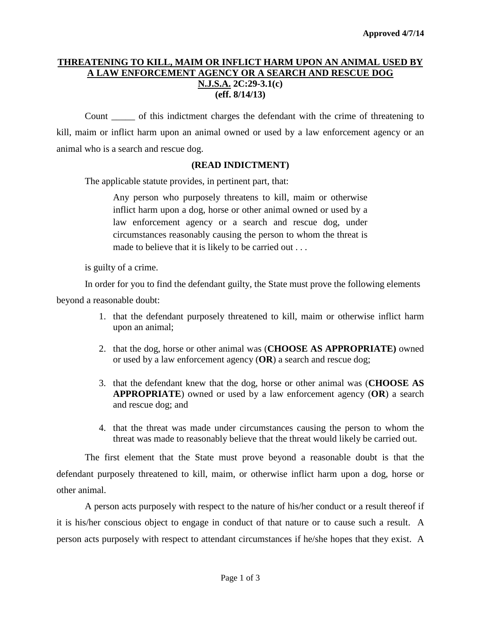## **THREATENING TO KILL, MAIM OR INFLICT HARM UPON AN ANIMAL USED BY A LAW ENFORCEMENT AGENCY OR A SEARCH AND RESCUE DOG N.J.S.A. 2C:29-3.1(c) (eff. 8/14/13)**

Count \_\_\_\_\_ of this indictment charges the defendant with the crime of threatening to kill, maim or inflict harm upon an animal owned or used by a law enforcement agency or an animal who is a search and rescue dog.

## **(READ INDICTMENT)**

The applicable statute provides, in pertinent part, that:

Any person who purposely threatens to kill, maim or otherwise inflict harm upon a dog, horse or other animal owned or used by a law enforcement agency or a search and rescue dog, under circumstances reasonably causing the person to whom the threat is made to believe that it is likely to be carried out . . .

is guilty of a crime.

In order for you to find the defendant guilty, the State must prove the following elements

beyond a reasonable doubt:

- 1. that the defendant purposely threatened to kill, maim or otherwise inflict harm upon an animal;
- 2. that the dog, horse or other animal was (**CHOOSE AS APPROPRIATE)** owned or used by a law enforcement agency (**OR**) a search and rescue dog;
- 3. that the defendant knew that the dog, horse or other animal was (**CHOOSE AS APPROPRIATE**) owned or used by a law enforcement agency (**OR**) a search and rescue dog; and
- 4. that the threat was made under circumstances causing the person to whom the threat was made to reasonably believe that the threat would likely be carried out.

The first element that the State must prove beyond a reasonable doubt is that the defendant purposely threatened to kill, maim, or otherwise inflict harm upon a dog, horse or other animal.

<span id="page-0-0"></span>A person acts purposely with respect to the nature of his/her conduct or a result thereof if it is his/her conscious object to engage in conduct of that nature or to cause such a result. A person acts purposely with respect to attendant circumstances if he/she hopes that they exist. A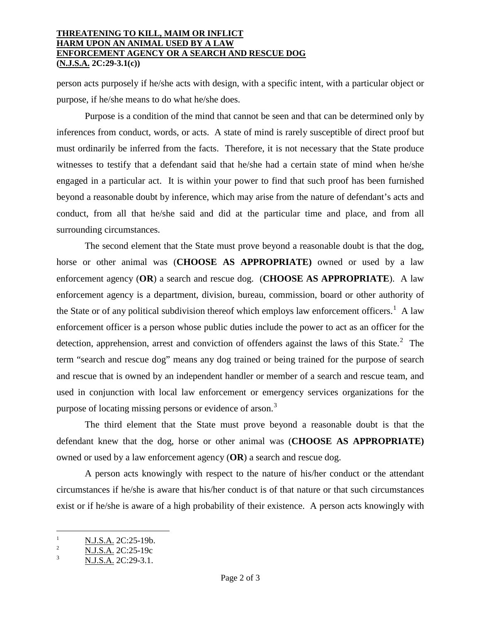## **THREATENING TO KILL, MAIM OR INFLICT HARM UPON AN ANIMAL USED BY A LAW ENFORCEMENT AGENCY OR A SEARCH AND RESCUE DOG (N.J.S.A. 2C:29-3.1(c))**

person acts purposely if he/she acts with design, with a specific intent, with a particular object or purpose, if he/she means to do what he/she does.

Purpose is a condition of the mind that cannot be seen and that can be determined only by inferences from conduct, words, or acts. A state of mind is rarely susceptible of direct proof but must ordinarily be inferred from the facts. Therefore, it is not necessary that the State produce witnesses to testify that a defendant said that he/she had a certain state of mind when he/she engaged in a particular act. It is within your power to find that such proof has been furnished beyond a reasonable doubt by inference, which may arise from the nature of defendant's acts and conduct, from all that he/she said and did at the particular time and place, and from all surrounding circumstances.

The second element that the State must prove beyond a reasonable doubt is that the dog, horse or other animal was (**CHOOSE AS APPROPRIATE)** owned or used by a law enforcement agency (**OR**) a search and rescue dog. (**CHOOSE AS APPROPRIATE**). A law enforcement agency is a department, division, bureau, commission, board or other authority of the State or of any political subdivision thereof which employs law enforcement officers.<sup>[1](#page-0-0)</sup> A law enforcement officer is a person whose public duties include the power to act as an officer for the detection, apprehension, arrest and conviction of offenders against the laws of this State. $2$  The term "search and rescue dog" means any dog trained or being trained for the purpose of search and rescue that is owned by an independent handler or member of a search and rescue team, and used in conjunction with local law enforcement or emergency services organizations for the purpose of locating missing persons or evidence of arson.<sup>[3](#page-1-1)</sup>

The third element that the State must prove beyond a reasonable doubt is that the defendant knew that the dog, horse or other animal was (**CHOOSE AS APPROPRIATE)** owned or used by a law enforcement agency (**OR**) a search and rescue dog.

A person acts knowingly with respect to the nature of his/her conduct or the attendant circumstances if he/she is aware that his/her conduct is of that nature or that such circumstances exist or if he/she is aware of a high probability of their existence. A person acts knowingly with

<span id="page-1-2"></span> $\frac{N.J.S.A.}{N.I.S.A.}$  2C:25-19b.

<span id="page-1-1"></span><span id="page-1-0"></span> $\frac{12}{3}$  N.J.S.A. 2C:25-19c<br>N.J.S.A. 2C:29-3.1.